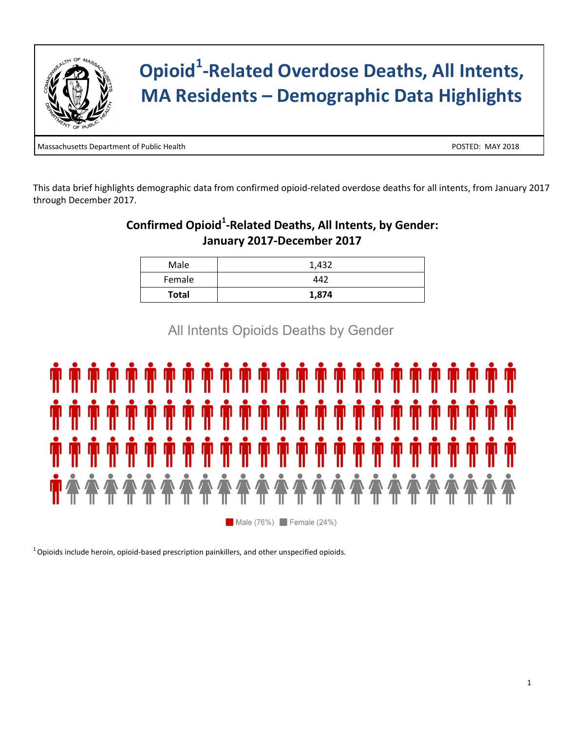

# **Opioid<sup>1</sup> -Related Overdose Deaths, All Intents, MA Residents – Demographic Data Highlights**

Massachusetts Department of Public Health POSTED: MAY 2018

This data brief highlights demographic data from confirmed opioid-related overdose deaths for all intents, from January 2017 through December 2017.

#### **Confirmed Opioid<sup>1</sup> -Related Deaths, All Intents, by Gender: January 2017-December 2017**

| Male         | 1,432 |
|--------------|-------|
| Female       | 442   |
| <b>Total</b> | 1,874 |

All Intents Opioids Deaths by Gender



 $^1$ Opioids include heroin, opioid-based prescription painkillers, and other unspecified opioids.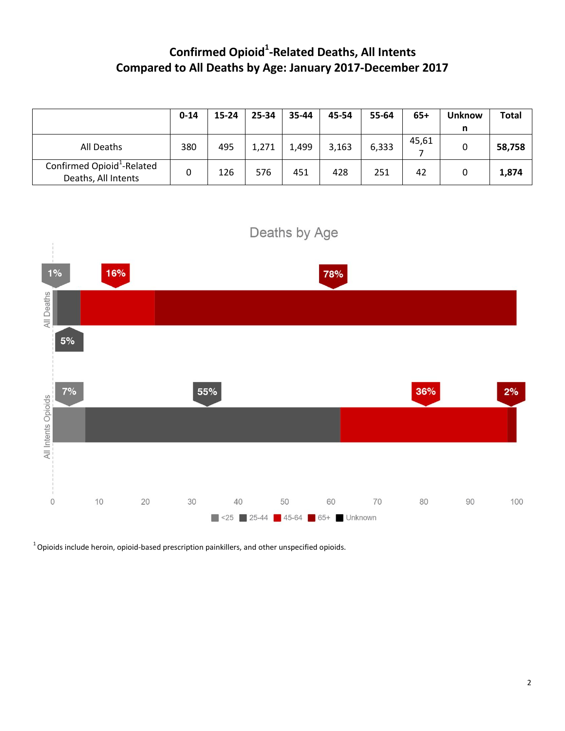## **Confirmed Opioid<sup>1</sup> -Related Deaths, All Intents Compared to All Deaths by Age: January 2017-December 2017**

|                                                               | $0 - 14$ | 15-24 | 25-34 | 35-44 | 45-54 | 55-64 | 65+   | <b>Unknow</b> | <b>Total</b> |
|---------------------------------------------------------------|----------|-------|-------|-------|-------|-------|-------|---------------|--------------|
|                                                               |          |       |       |       |       |       |       | n             |              |
| All Deaths                                                    | 380      | 495   | 1,271 | 1,499 | 3,163 | 6,333 | 45,61 |               | 58,758       |
| Confirmed Opioid <sup>1</sup> -Related<br>Deaths, All Intents | 0        | 126   | 576   | 451   | 428   | 251   | 42    |               | 1,874        |



 $1$ Opioids include heroin, opioid-based prescription painkillers, and other unspecified opioids.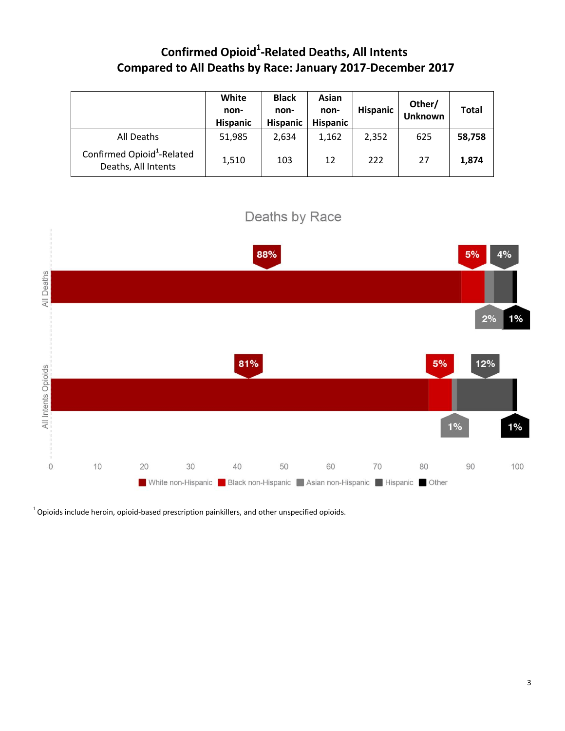### **Confirmed Opioid<sup>1</sup> -Related Deaths, All Intents Compared to All Deaths by Race: January 2017-December 2017**

|                                                               | White<br>non-<br><b>Hispanic</b> | <b>Black</b><br>non-<br><b>Hispanic</b> | Asian<br>non-<br><b>Hispanic</b> | <b>Hispanic</b> | Other/<br><b>Unknown</b> | <b>Total</b> |
|---------------------------------------------------------------|----------------------------------|-----------------------------------------|----------------------------------|-----------------|--------------------------|--------------|
| All Deaths                                                    | 51,985                           | 2,634                                   | 1,162                            | 2,352           | 625                      | 58,758       |
| Confirmed Opioid <sup>1</sup> -Related<br>Deaths, All Intents | 1,510                            | 103                                     | 12                               | 222             | 27                       | 1,874        |



 $1$ Opioids include heroin, opioid-based prescription painkillers, and other unspecified opioids.